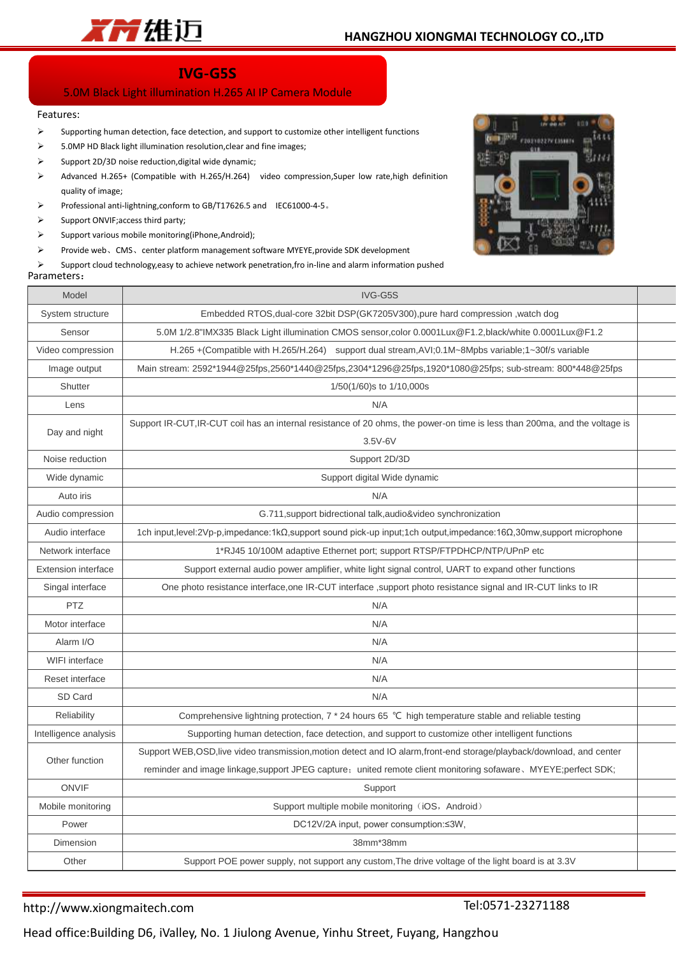

# **IVG-G5S**

## 5.0M Black Light illumination H.265 AI IP Camera Module

#### Features:

- $\triangleright$  Supporting human detection, face detection, and support to customize other intelligent functions
- $\geq$  5.0MP HD Black light illumination resolution, clear and fine images;
- $\triangleright$  Support 2D/3D noise reduction, digital wide dynamic;
- Advanced H.265+ (Compatible with H.265/H.264) video compression,Super low rate,high definition quality of image;
- Professional anti-lightning,conform to GB/T17626.5 and IEC61000-4-5。
- $\triangleright$  Support ONVIF; access third party;
- $\triangleright$  Support various mobile monitoring(iPhone,Android);
- Provide web、CMS、center platform management software MYEYE,provide SDK development

 $\triangleright$  Support cloud technology, easy to achieve network penetration, fro in-line and alarm information pushed

### Parameters:



| Model                      | IVG-G5S                                                                                                                     |  |  |  |  |
|----------------------------|-----------------------------------------------------------------------------------------------------------------------------|--|--|--|--|
| System structure           | Embedded RTOS, dual-core 32bit DSP(GK7205V300), pure hard compression, watch dog                                            |  |  |  |  |
| Sensor                     | 5.0M 1/2.8"IMX335 Black Light illumination CMOS sensor,color 0.0001Lux@F1.2,black/white 0.0001Lux@F1.2                      |  |  |  |  |
| Video compression          | H.265 + (Compatible with H.265/H.264) support dual stream, AVI; 0.1M~8Mpbs variable; 1~30f/s variable                       |  |  |  |  |
| Image output               | Main stream: 2592*1944@25fps,2560*1440@25fps,2304*1296@25fps,1920*1080@25fps; sub-stream: 800*448@25fps                     |  |  |  |  |
| Shutter                    | 1/50(1/60)s to 1/10,000s                                                                                                    |  |  |  |  |
| Lens                       | N/A                                                                                                                         |  |  |  |  |
| Day and night              | Support IR-CUT, IR-CUT coil has an internal resistance of 20 ohms, the power-on time is less than 200ma, and the voltage is |  |  |  |  |
|                            | $3.5V-6V$                                                                                                                   |  |  |  |  |
| Noise reduction            | Support 2D/3D                                                                                                               |  |  |  |  |
| Wide dynamic               | Support digital Wide dynamic                                                                                                |  |  |  |  |
| Auto iris                  | N/A                                                                                                                         |  |  |  |  |
| Audio compression          | G.711, support bidrectional talk, audio&video synchronization                                                               |  |  |  |  |
| Audio interface            | 1ch input,level:2Vp-p,impedance:1kΩ,support sound pick-up input;1ch output,impedance:16Ω,30mw,support microphone            |  |  |  |  |
| Network interface          | 1*RJ45 10/100M adaptive Ethernet port; support RTSP/FTPDHCP/NTP/UPnP etc                                                    |  |  |  |  |
| <b>Extension interface</b> | Support external audio power amplifier, white light signal control, UART to expand other functions                          |  |  |  |  |
| Singal interface           | One photo resistance interface, one IR-CUT interface, support photo resistance signal and IR-CUT links to IR                |  |  |  |  |
| PTZ                        | N/A                                                                                                                         |  |  |  |  |
| Motor interface            | N/A                                                                                                                         |  |  |  |  |
| Alarm I/O                  | N/A                                                                                                                         |  |  |  |  |
| WIFI interface             | N/A                                                                                                                         |  |  |  |  |
| Reset interface            | N/A                                                                                                                         |  |  |  |  |
| SD Card                    | N/A                                                                                                                         |  |  |  |  |
| Reliability                | Comprehensive lightning protection, 7 * 24 hours 65 °C high temperature stable and reliable testing                         |  |  |  |  |
| Intelligence analysis      | Supporting human detection, face detection, and support to customize other intelligent functions                            |  |  |  |  |
| Other function             | Support WEB, OSD, live video transmission, motion detect and IO alarm, front-end storage/playback/download, and center      |  |  |  |  |
|                            | reminder and image linkage, support JPEG capture; united remote client monitoring sofaware, MYEYE; perfect SDK;             |  |  |  |  |
| <b>ONVIF</b>               | Support                                                                                                                     |  |  |  |  |
| Mobile monitoring          | Support multiple mobile monitoring (iOS, Android)                                                                           |  |  |  |  |
| Power                      | DC12V/2A input, power consumption:≤3W,                                                                                      |  |  |  |  |
| Dimension                  | 38mm*38mm                                                                                                                   |  |  |  |  |
| Other                      | Support POE power supply, not support any custom, The drive voltage of the light board is at 3.3V                           |  |  |  |  |
|                            |                                                                                                                             |  |  |  |  |

### http://www.xiongmaitech.com

Tel:0571-23271188

Head office:Building D6, iValley, No. 1 Jiulong Avenue, Yinhu Street, Fuyang, Hangzhou